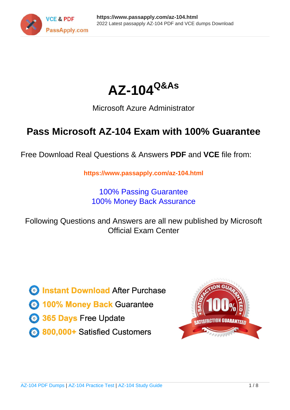



## Microsoft Azure Administrator

# **Pass Microsoft AZ-104 Exam with 100% Guarantee**

Free Download Real Questions & Answers **PDF** and **VCE** file from:

**https://www.passapply.com/az-104.html**

100% Passing Guarantee 100% Money Back Assurance

Following Questions and Answers are all new published by Microsoft Official Exam Center

**C** Instant Download After Purchase

**83 100% Money Back Guarantee** 

365 Days Free Update

800,000+ Satisfied Customers

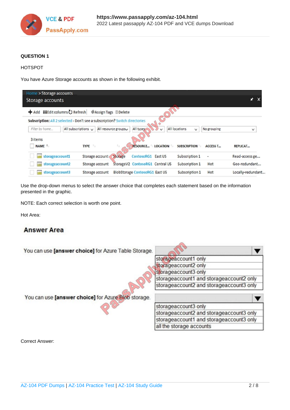

#### **QUESTION 1**

#### HOTSPOT

You have Azure Storage accounts as shown in the following exhibit.

| Home > Storage accounts<br>Storage accounts                                 |                             |                                               |                                        |                 |                   |
|-----------------------------------------------------------------------------|-----------------------------|-----------------------------------------------|----------------------------------------|-----------------|-------------------|
| Add EEEdit columns & Refresh                                                |                             | Assign Tags Delete                            |                                        |                 |                   |
| Subscription: All 2 selected - Don't see a subscription? Switch directories |                             |                                               | G                                      |                 |                   |
| Filter by home                                                              | All subscriptions $\sqrt{}$ | All types<br>All resource groups <sub>v</sub> | All locations<br>v                     | No grouping     | v                 |
| 3 items                                                                     |                             |                                               |                                        |                 |                   |
| NAME <sup>1</sup>                                                           | <b>TYPE</b>                 | <b>RESOURCE</b><br>T.L.                       | <b>LOCATION</b><br><b>SUBSCRIPTION</b> | <b>ACCESS T</b> | <b>REPLICAT</b>   |
| storageaccount1                                                             | Storage account             | Storage<br><b>ContosoRG1</b>                  | East US<br>Subscription 1              |                 | Read-access ge    |
| storageaccount2                                                             | Storage account             | StorageV2 ContosoRG1 Central US               | Subscription 1                         | Hot             | Geo-redundant     |
| storageaccount3                                                             | Storage account             | <b>BlobStorage ContosoRG1 East US</b>         | Subscription 1                         | Hot             | Locally-redundant |

Use the drop-down menus to select the answer choice that completes each statement based on the information presented in the graphic.

NOTE: Each correct selection is worth one point.

Hot Area:

### **Answer Area**

| You can use [answer choice] for Azure Table Storage. |                                                                  |  |  |
|------------------------------------------------------|------------------------------------------------------------------|--|--|
|                                                      | storageaccount1 only                                             |  |  |
|                                                      | storageaccount2 only                                             |  |  |
|                                                      | storageaccount3 only<br>storageaccount1 and storageaccount2 only |  |  |
|                                                      |                                                                  |  |  |
|                                                      | storageaccount2 and storageaccount3 only                         |  |  |
| You can use [answer choice] for Azure Blob storage.  |                                                                  |  |  |
|                                                      | storageaccount3 only                                             |  |  |
|                                                      | storageaccount2 and storageaccount3 only                         |  |  |
|                                                      | storageaccount1 and storageaccount3 only                         |  |  |
|                                                      | all the storage accounts                                         |  |  |

Correct Answer: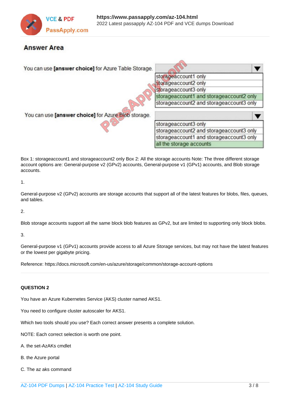

### **Answer Area**

| You can use [answer choice] for Azure Table Storage. |                                          |  |
|------------------------------------------------------|------------------------------------------|--|
|                                                      | storageaccount1 only                     |  |
|                                                      | storageaccount2 only                     |  |
|                                                      | storageaccount3 only                     |  |
|                                                      | storageaccount1 and storageaccount2 only |  |
|                                                      | storageaccount2 and storageaccount3 only |  |
| You can use [answer choice] for Azure Blob storage.  |                                          |  |
|                                                      | storageaccount3 only                     |  |
|                                                      | storageaccount2 and storageaccount3 only |  |
|                                                      | storageaccount1 and storageaccount3 only |  |
|                                                      | all the storage accounts                 |  |

Box 1: storageaccount1 and storageaccount2 only Box 2: All the storage accounts Note: The three different storage account options are: General-purpose v2 (GPv2) accounts, General-purpose v1 (GPv1) accounts, and Blob storage accounts.

1.

General-purpose v2 (GPv2) accounts are storage accounts that support all of the latest features for blobs, files, queues, and tables.

2.

Blob storage accounts support all the same block blob features as GPv2, but are limited to supporting only block blobs.

3.

General-purpose v1 (GPv1) accounts provide access to all Azure Storage services, but may not have the latest features or the lowest per gigabyte pricing.

Reference: https://docs.microsoft.com/en-us/azure/storage/common/storage-account-options

#### **QUESTION 2**

You have an Azure Kubernetes Service (AKS) cluster named AKS1.

You need to configure cluster autoscaler for AKS1.

Which two tools should you use? Each correct answer presents a complete solution.

NOTE: Each correct selection is worth one point.

- A. the set-AzAKs cmdlet
- B. the Azure portal
- C. The az aks command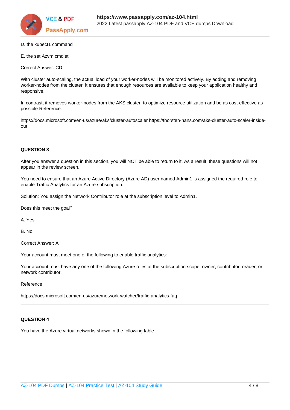

- D. the kubect1 command
- E. the set Azvm cmdlet

Correct Answer: CD

With cluster auto-scaling, the actual load of your worker-nodes will be monitored actively. By adding and removing worker-nodes from the cluster, it ensures that enough resources are available to keep your application healthy and responsive.

In contrast, it removes worker-nodes from the AKS cluster, to optimize resource utilization and be as cost-effective as possible Reference:

https://docs.microsoft.com/en-us/azure/aks/cluster-autoscaler https://thorsten-hans.com/aks-cluster-auto-scaler-insideout

#### **QUESTION 3**

After you answer a question in this section, you will NOT be able to return to it. As a result, these questions will not appear in the review screen.

You need to ensure that an Azure Active Directory (Azure AD) user named Admin1 is assigned the required role to enable Traffic Analytics for an Azure subscription.

Solution: You assign the Network Contributor role at the subscription level to Admin1.

Does this meet the goal?

A. Yes

B. No

Correct Answer: A

Your account must meet one of the following to enable traffic analytics:

Your account must have any one of the following Azure roles at the subscription scope: owner, contributor, reader, or network contributor.

Reference:

https://docs.microsoft.com/en-us/azure/network-watcher/traffic-analytics-faq

#### **QUESTION 4**

You have the Azure virtual networks shown in the following table.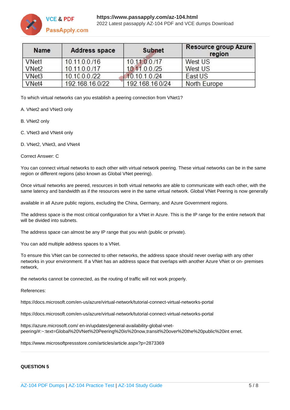

| Name              | Address space   | <b>Subnet</b>   | Resource group Azure<br>region |
|-------------------|-----------------|-----------------|--------------------------------|
| VNet1             | 10.11.0.0./16   | 10.11.0.0./17   | West US                        |
| VNet <sub>2</sub> | 10.11.0.0./17   | 10 11 0.0 / 25  | West US                        |
| VNet <sub>3</sub> | 10.10.0.0./22   | 10.10.1.0./24   | East US                        |
| VNet <sub>4</sub> | 192.168.16.0/22 | 192.168.16.0/24 | North Europe                   |

To which virtual networks can you establish a peering connection from VNet1?

A. VNet2 and VNet3 only

- B. VNet2 only
- C. VNet3 and VNet4 only
- D. VNet2, VNet3, and VNet4

Correct Answer: C

You can connect virtual networks to each other with virtual network peering. These virtual networks can be in the same region or different regions (also known as Global VNet peering).

Once virtual networks are peered, resources in both virtual networks are able to communicate with each other, with the same latency and bandwidth as if the resources were in the same virtual network. Global VNet Peering is now generally

available in all Azure public regions, excluding the China, Germany, and Azure Government regions.

The address space is the most critical configuration for a VNet in Azure. This is the IP range for the entire network that will be divided into subnets.

The address space can almost be any IP range that you wish (public or private).

You can add multiple address spaces to a VNet.

To ensure this VNet can be connected to other networks, the address space should never overlap with any other networks in your environment. If a VNet has an address space that overlaps with another Azure VNet or on- premises network,

the networks cannot be connected, as the routing of traffic will not work properly.

References:

https://docs.microsoft.com/en-us/azure/virtual-network/tutorial-connect-virtual-networks-portal

https://docs.microsoft.com/en-us/azure/virtual-network/tutorial-connect-virtual-networks-portal

https://azure.microsoft.com/ en-in/updates/general-availability-global-vnetpeering/#:~:text=Global%20VNet%20Peering%20is%20now,transit%20over%20the%20public%20int ernet.

https://www.microsoftpressstore.com/articles/article.aspx?p=2873369

#### **QUESTION 5**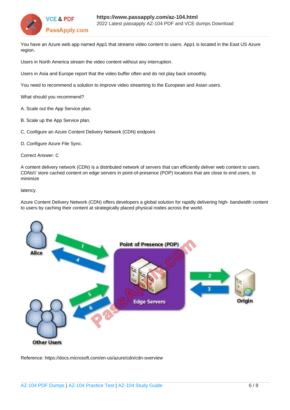

You have an Azure web app named App1 that streams video content to users. App1 is located in the East US Azure region.

Users in North America stream the video content without any interruption.

Users in Asia and Europe report that the video buffer often and do not play back smoothly.

You need to recommend a solution to improve video streaming to the European and Asian users.

What should you recommend?

A. Scale out the App Service plan.

- B. Scale up the App Service plan.
- C. Configure an Azure Content Delivery Network (CDN) endpoint.
- D. Configure Azure File Sync.

Correct Answer: C

A content delivery network (CDN) is a distributed network of servers that can efficiently deliver web content to users. CDNs\\' store cached content on edge servers in point-of-presence (POP) locations that are close to end users, to minimize

#### latency.

Azure Content Delivery Network (CDN) offers developers a global solution for rapidly delivering high- bandwidth content to users by caching their content at strategically placed physical nodes across the world.



Reference: https://docs.microsoft.com/en-us/azure/cdn/cdn-overview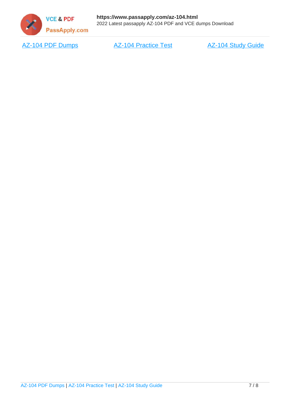

[AZ-104 PDF Dumps](https://www.passapply.com/az-104.html) <br>AZ-104 PDF Dumps [AZ-104 Practice Test](https://www.passapply.com/az-104.html) [AZ-104 Study Guide](https://www.passapply.com/az-104.html)